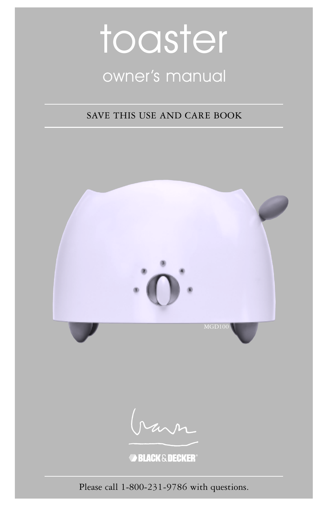# toaster owner's manual

### SAVE THIS USE AND CARE BOOK



Please call 1-800-231-9786 with questions.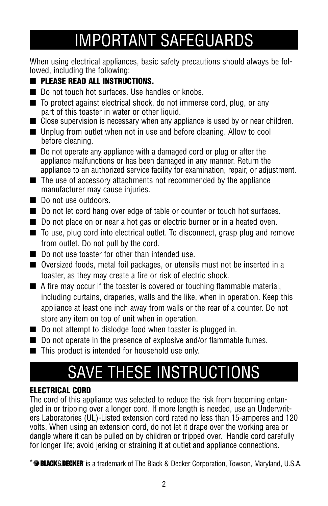## IMPORTANT SAFEGUARDS

When using electrical appliances, basic safety precautions should always be followed, including the following:

### ■ **PLEASE READ ALL INSTRUCTIONS.**

- Do not touch hot surfaces. Use handles or knobs.
- To protect against electrical shock, do not immerse cord, plug, or any part of this toaster in water or other liquid.
- Close supervision is necessary when any appliance is used by or near children.
- Unplug from outlet when not in use and before cleaning. Allow to cool before cleaning.
- Do not operate any appliance with a damaged cord or plug or after the appliance malfunctions or has been damaged in any manner. Return the appliance to an authorized service facility for examination, repair, or adjustment.
- The use of accessory attachments not recommended by the appliance manufacturer may cause injuries.
- Do not use outdoors.
- Do not let cord hang over edge of table or counter or touch hot surfaces.
- Do not place on or near a hot gas or electric burner or in a heated oven.
- To use, plug cord into electrical outlet. To disconnect, grasp plug and remove from outlet. Do not pull by the cord.
- Do not use toaster for other than intended use.
- Oversized foods, metal foil packages, or utensils must not be inserted in a toaster, as they may create a fire or risk of electric shock.
- A fire may occur if the toaster is covered or touching flammable material, including curtains, draperies, walls and the like, when in operation. Keep this appliance at least one inch away from walls or the rear of a counter. Do not store any item on top of unit when in operation.
- Do not attempt to dislodge food when toaster is plugged in.
- Do not operate in the presence of explosive and/or flammable fumes.
- This product is intended for household use only.

# SAVE THESE INSTRUCTIONS

#### **ELECTRICAL CORD**

The cord of this appliance was selected to reduce the risk from becoming entangled in or tripping over a longer cord. If more length is needed, use an Underwriters Laboratories (UL)-Listed extension cord rated no less than 15-amperes and 120 volts. When using an extension cord, do not let it drape over the working area or dangle where it can be pulled on by children or tripped over. Handle cord carefully for longer life; avoid jerking or straining it at outlet and appliance connections.

\***<sup>\*</sup> BLACKS.DECKER**<sup>\*</sup> is a trademark of The Black & Decker Corporation, Towson, Maryland, U.S.A.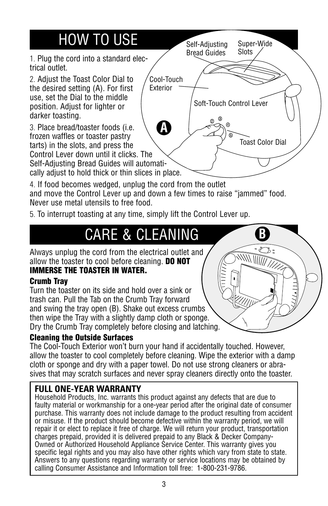### HOW TO USE

1. Plug the cord into a standard electrical outlet.

2. Adjust the Toast Color Dial to the desired setting (A). For first use, set the Dial to the middle position. Adjust for lighter or darker toasting.

3. Place bread/toaster foods (i.e. frozen waffles or toaster pastry tarts) in the slots, and press the Control Lever down until it clicks. The Self-Adjusting Bread Guides will automati-

cally adjust to hold thick or thin slices in place.

4. If food becomes wedged, unplug the cord from the outlet and move the Control Lever up and down a few times to raise "jammed" food. Never use metal utensils to free food.

Cool-Touch Exterior

**A**

5. To interrupt toasting at any time, simply lift the Control Lever up.

### **CARE & CLEANING**

Always unplug the cord from the electrical outlet and allow the toaster to cool before cleaning. **DO NOT**

### **IMMERSE THE TOASTER IN WATER.**

#### **Crumb Tray**

Turn the toaster on its side and hold over a sink or trash can. Pull the Tab on the Crumb Tray forward and swing the tray open (B). Shake out excess crumbs then wipe the Tray with a slightly damp cloth or sponge. Dry the Crumb Tray completely before closing and latching.

#### **Cleaning the Outside Surfaces**

The Cool-Touch Exterior won't burn your hand if accidentally touched. However, allow the toaster to cool completely before cleaning. Wipe the exterior with a damp cloth or sponge and dry with a paper towel. Do not use strong cleaners or abrasives that may scratch surfaces and never spray cleaners directly onto the toaster.

### **FULL ONE-YEAR WARRANTY**

Household Products, Inc. warrants this product against any defects that are due to faulty material or workmanship for a one-year period after the original date of consumer purchase. This warranty does not include damage to the product resulting from accident or misuse. If the product should become defective within the warranty period, we will repair it or elect to replace it free of charge. We will return your product, transportation charges prepaid, provided it is delivered prepaid to any Black & Decker Company-Owned or Authorized Household Appliance Service Center. This warranty gives you specific legal rights and you may also have other rights which vary from state to state. Answers to any questions regarding warranty or service locations may be obtained by calling Consumer Assistance and Information toll free: 1-800-231-9786.



Super-Wide **Slots** 

Toast Color Dial

Self-Adjusting Bread Guides

 $\odot$ 

Soft-Touch Control Lever

4